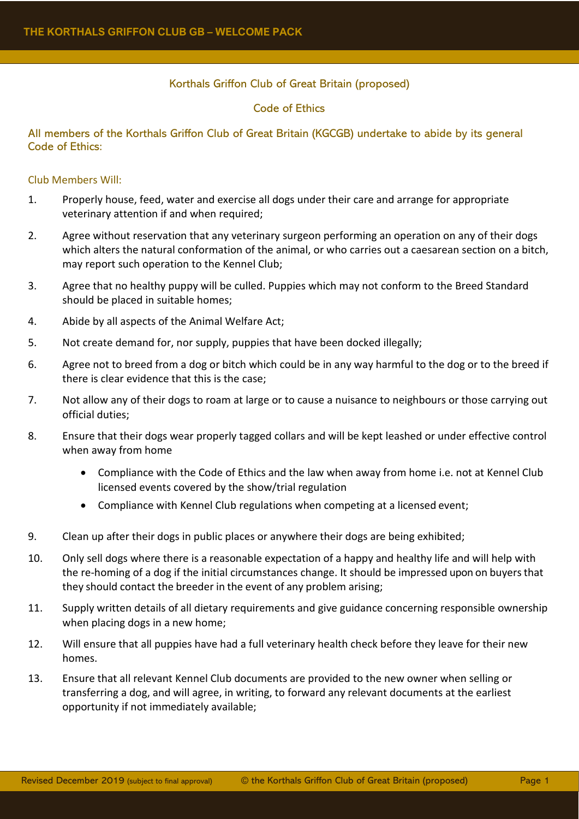# Korthals Griffon Club of Great Britain (proposed)

### Code of Ethics

### All members of the Korthals Griffon Club of Great Britain (KGCGB) undertake to abide by its general Code of Ethics:

### Club Members Will:

- 1. Properly house, feed, water and exercise all dogs under their care and arrange for appropriate veterinary attention if and when required;
- 2. Agree without reservation that any veterinary surgeon performing an operation on any of their dogs which alters the natural conformation of the animal, or who carries out a caesarean section on a bitch, may report such operation to the Kennel Club;
- 3. Agree that no healthy puppy will be culled. Puppies which may not conform to the Breed Standard should be placed in suitable homes;
- 4. Abide by all aspects of the Animal Welfare Act;
- 5. Not create demand for, nor supply, puppies that have been docked illegally;
- 6. Agree not to breed from a dog or bitch which could be in any way harmful to the dog or to the breed if there is clear evidence that this is the case;
- 7. Not allow any of their dogs to roam at large or to cause a nuisance to neighbours or those carrying out official duties;
- 8. Ensure that their dogs wear properly tagged collars and will be kept leashed or under effective control when away from home
	- Compliance with the Code of Ethics and the law when away from home i.e. not at Kennel Club licensed events covered by the show/trial regulation
	- Compliance with Kennel Club regulations when competing at a licensed event;
- 9. Clean up after their dogs in public places or anywhere their dogs are being exhibited;
- 10. Only sell dogs where there is a reasonable expectation of a happy and healthy life and will help with the re-homing of a dog if the initial circumstances change. It should be impressed upon on buyersthat they should contact the breeder in the event of any problem arising;
- 11. Supply written details of all dietary requirements and give guidance concerning responsible ownership when placing dogs in a new home;
- 12. Will ensure that all puppies have had a full veterinary health check before they leave for their new homes.
- 13. Ensure that all relevant Kennel Club documents are provided to the new owner when selling or transferring a dog, and will agree, in writing, to forward any relevant documents at the earliest opportunity if not immediately available;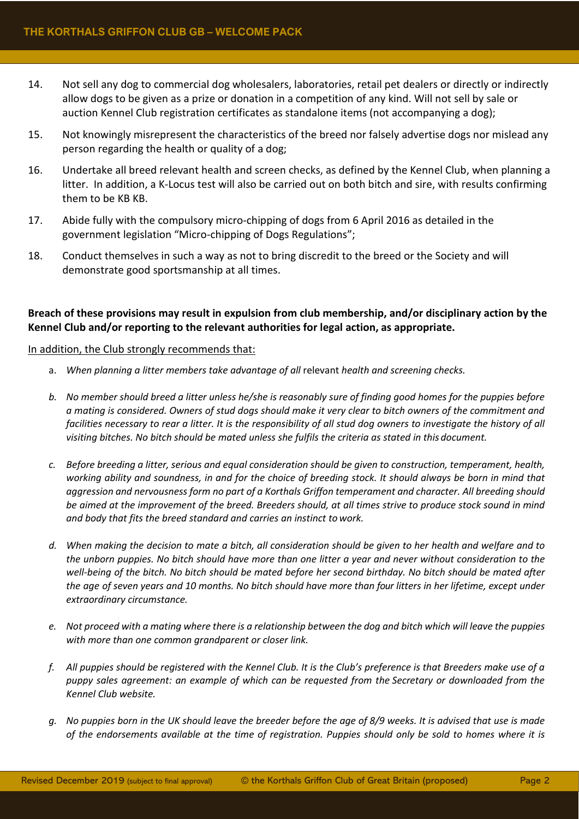- 14. Not sell any dog to commercial dog wholesalers, laboratories, retail pet dealers or directly or indirectly allow dogs to be given as a prize or donation in a competition of any kind. Will not sell by sale or auction Kennel Club registration certificates as standalone items (not accompanying a dog);
- 15. Not knowingly misrepresent the characteristics of the breed nor falsely advertise dogs nor mislead any person regarding the health or quality of a dog;
- 16. Undertake all breed relevant health and screen checks, as defined by the Kennel Club, when planning a litter. In addition, a K-Locus test will also be carried out on both bitch and sire, with results confirming them to be KB KB.
- 17. Abide fully with the compulsory micro-chipping of dogs from 6 April 2016 as detailed in the government legislation "Micro-chipping of Dogs Regulations";
- 18. Conduct themselves in such a way as not to bring discredit to the breed or the Society and will demonstrate good sportsmanship at all times.

# **Breach of these provisions may result in expulsion from club membership, and/or disciplinary action by the Kennel Club and/or reporting to the relevant authorities for legal action, as appropriate.**

#### In addition, the Club strongly recommends that:

- a. *When planning a litter members take advantage of all* relevant *health and screening checks.*
- *b. No member should breed a litter unless he/she is reasonably sure of finding good homes for the puppies before a mating is considered. Owners of stud dogs should make it very clear to bitch owners of the commitment and*  facilities necessary to rear a litter. It is the responsibility of all stud dog owners to investigate the history of all *visiting bitches. No bitch should be mated unless she fulfils the criteria as stated in this document.*
- *c. Before breeding a litter, serious and equal consideration should be given to construction, temperament, health, working ability and soundness, in and for the choice of breeding stock. It should always be born in mind that aggression and nervousness form no part of a Korthals Griffon temperament and character. All breeding should be aimed at the improvement of the breed. Breeders should, at all times strive to produce stock sound in mind and body that fits the breed standard and carries an instinct to work.*
- d. When making the decision to mate a bitch, all consideration should be given to her health and welfare and to *the unborn puppies. No bitch should have more than one litter a year and never without consideration to the well-being of the bitch. No bitch should be mated before her second birthday. No bitch should be mated after*  the age of seven years and 10 months. No bitch should have more than four litters in her lifetime, except under *extraordinary circumstance.*
- *e. Not proceed with a mating where there is a relationship between the dog and bitch which will leave the puppies with more than one common grandparent or closer link.*
- *f. All puppies should be registered with the Kennel Club. It is the Club's preference is that Breeders make use of a puppy sales agreement: an example of which can be requested from the Secretary or downloaded from the Kennel Club website.*
- *g. No puppies born in the UK should leave the breeder before the age of 8/9 weeks. It is advised that use is made of the endorsements available at the time of registration. Puppies should only be sold to homes where it is*